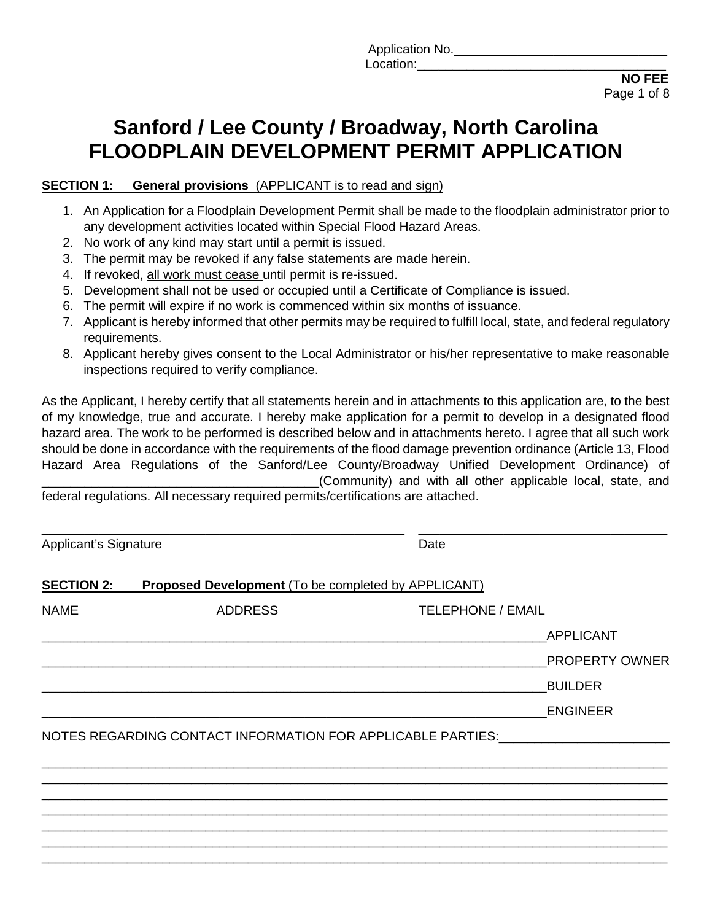Application No. Location:\_\_\_\_\_\_\_\_\_\_\_\_\_\_\_\_\_\_\_\_\_\_\_\_\_\_\_\_\_\_\_\_\_\_\_

 **NO FEE**  Page 1 of 8

# **Sanford / Lee County / Broadway, North Carolina FLOODPLAIN DEVELOPMENT PERMIT APPLICATION**

#### **SECTION 1:** General provisions (APPLICANT is to read and sign)

- 1. An Application for a Floodplain Development Permit shall be made to the floodplain administrator prior to any development activities located within Special Flood Hazard Areas.
- 2. No work of any kind may start until a permit is issued.
- 3. The permit may be revoked if any false statements are made herein.
- 4. If revoked, all work must cease until permit is re-issued.
- 5. Development shall not be used or occupied until a Certificate of Compliance is issued.
- 6. The permit will expire if no work is commenced within six months of issuance.
- 7. Applicant is hereby informed that other permits may be required to fulfill local, state, and federal regulatory requirements.
- 8. Applicant hereby gives consent to the Local Administrator or his/her representative to make reasonable inspections required to verify compliance.

As the Applicant, I hereby certify that all statements herein and in attachments to this application are, to the best of my knowledge, true and accurate. I hereby make application for a permit to develop in a designated flood hazard area. The work to be performed is described below and in attachments hereto. I agree that all such work should be done in accordance with the requirements of the flood damage prevention ordinance (Article 13, Flood Hazard Area Regulations of the Sanford/Lee County/Broadway Unified Development Ordinance) of (Community) and with all other applicable local, state, and federal regulations. All necessary required permits/certifications are attached.

\_\_\_\_\_\_\_\_\_\_\_\_\_\_\_\_\_\_\_\_\_\_\_\_\_\_\_\_\_\_\_\_\_\_\_\_\_\_\_\_\_\_\_\_\_\_\_\_\_\_\_ \_\_\_\_\_\_\_\_\_\_\_\_\_\_\_\_\_\_\_\_\_\_\_\_\_\_\_\_\_\_\_\_\_\_\_ Applicant's Signature Date Date **SECTION 2: Proposed Development** (To be completed by APPLICANT) NAME ADDRESS TELEPHONE / EMAIL \_\_\_\_\_\_\_\_\_\_\_\_\_\_\_\_\_\_\_\_\_\_\_\_\_\_\_\_\_\_\_\_\_\_\_\_\_\_\_\_\_\_\_\_\_\_\_\_\_\_\_\_\_\_\_\_\_\_\_\_\_\_\_\_\_\_\_\_\_\_\_APPLICANT \_\_\_\_\_\_\_\_\_\_\_\_\_\_\_\_\_\_\_\_\_\_\_\_\_\_\_\_\_\_\_\_\_\_\_\_\_\_\_\_\_\_\_\_\_\_\_\_\_\_\_\_\_\_\_\_\_\_\_\_\_\_\_\_\_\_\_\_\_\_\_PROPERTY OWNER \_\_\_\_\_\_\_\_\_\_\_\_\_\_\_\_\_\_\_\_\_\_\_\_\_\_\_\_\_\_\_\_\_\_\_\_\_\_\_\_\_\_\_\_\_\_\_\_\_\_\_\_\_\_\_\_\_\_\_\_\_\_\_\_\_\_\_\_\_\_\_BUILDER  $ENGINEER$ NOTES REGARDING CONTACT INFORMATION FOR APPLICABLE PARTIES: \_\_\_\_\_\_\_\_\_\_\_\_\_\_\_\_\_\_\_\_\_\_\_\_\_\_\_\_\_\_\_\_\_\_\_\_\_\_\_\_\_\_\_\_\_\_\_\_\_\_\_\_\_\_\_\_\_\_\_\_\_\_\_\_\_\_\_\_\_\_\_\_\_\_\_\_\_\_\_\_\_\_\_\_\_\_\_\_ \_\_\_\_\_\_\_\_\_\_\_\_\_\_\_\_\_\_\_\_\_\_\_\_\_\_\_\_\_\_\_\_\_\_\_\_\_\_\_\_\_\_\_\_\_\_\_\_\_\_\_\_\_\_\_\_\_\_\_\_\_\_\_\_\_\_\_\_\_\_\_\_\_\_\_\_\_\_\_\_\_\_\_\_\_\_\_\_ \_\_\_\_\_\_\_\_\_\_\_\_\_\_\_\_\_\_\_\_\_\_\_\_\_\_\_\_\_\_\_\_\_\_\_\_\_\_\_\_\_\_\_\_\_\_\_\_\_\_\_\_\_\_\_\_\_\_\_\_\_\_\_\_\_\_\_\_\_\_\_\_\_\_\_\_\_\_\_\_\_\_\_\_\_\_\_\_ \_\_\_\_\_\_\_\_\_\_\_\_\_\_\_\_\_\_\_\_\_\_\_\_\_\_\_\_\_\_\_\_\_\_\_\_\_\_\_\_\_\_\_\_\_\_\_\_\_\_\_\_\_\_\_\_\_\_\_\_\_\_\_\_\_\_\_\_\_\_\_\_\_\_\_\_\_\_\_\_\_\_\_\_\_\_\_\_ \_\_\_\_\_\_\_\_\_\_\_\_\_\_\_\_\_\_\_\_\_\_\_\_\_\_\_\_\_\_\_\_\_\_\_\_\_\_\_\_\_\_\_\_\_\_\_\_\_\_\_\_\_\_\_\_\_\_\_\_\_\_\_\_\_\_\_\_\_\_\_\_\_\_\_\_\_\_\_\_\_\_\_\_\_\_\_\_

\_\_\_\_\_\_\_\_\_\_\_\_\_\_\_\_\_\_\_\_\_\_\_\_\_\_\_\_\_\_\_\_\_\_\_\_\_\_\_\_\_\_\_\_\_\_\_\_\_\_\_\_\_\_\_\_\_\_\_\_\_\_\_\_\_\_\_\_\_\_\_\_\_\_\_\_\_\_\_\_\_\_\_\_\_\_\_\_ \_\_\_\_\_\_\_\_\_\_\_\_\_\_\_\_\_\_\_\_\_\_\_\_\_\_\_\_\_\_\_\_\_\_\_\_\_\_\_\_\_\_\_\_\_\_\_\_\_\_\_\_\_\_\_\_\_\_\_\_\_\_\_\_\_\_\_\_\_\_\_\_\_\_\_\_\_\_\_\_\_\_\_\_\_\_\_\_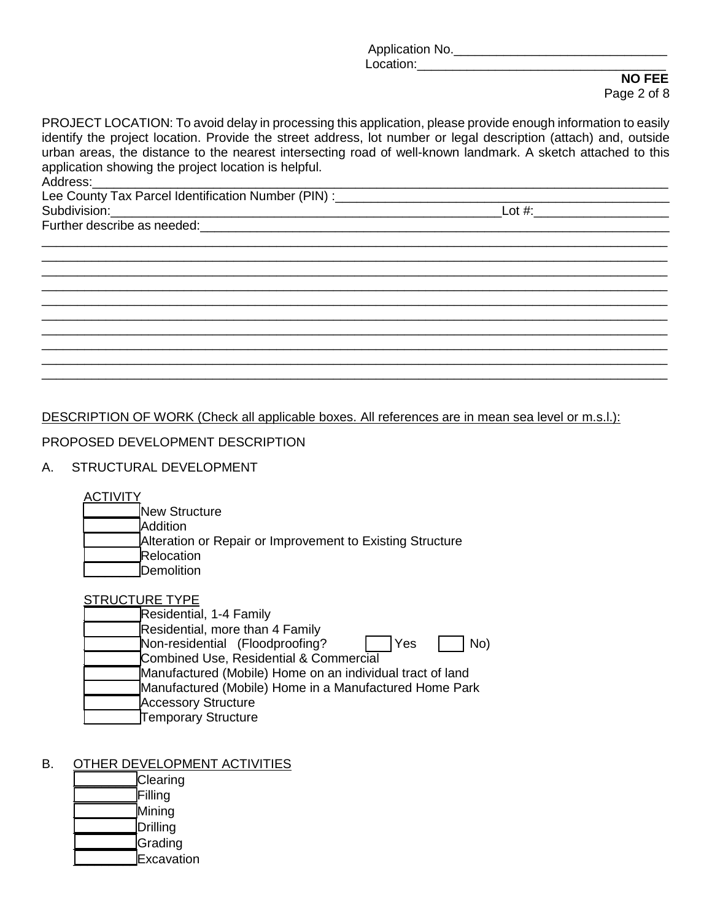Application No.\_\_\_\_\_\_\_\_\_\_\_\_\_\_\_\_\_\_\_\_\_\_\_\_\_\_\_\_\_\_

 Location:\_\_\_\_\_\_\_\_\_\_\_\_\_\_\_\_\_\_\_\_\_\_\_\_\_\_\_\_\_\_\_\_\_\_\_ **NO FEE**  Page 2 of 8

PROJECT LOCATION: To avoid delay in processing this application, please provide enough information to easily identify the project location. Provide the street address, lot number or legal description (attach) and, outside urban areas, the distance to the nearest intersecting road of well-known landmark. A sketch attached to this application showing the project location is helpful. Address:\_\_\_\_\_\_\_\_\_\_\_\_\_\_\_\_\_\_\_\_\_\_\_\_\_\_\_\_\_\_\_\_\_\_\_\_\_\_\_\_\_\_\_\_\_\_\_\_\_\_\_\_\_\_\_\_\_\_\_\_\_\_\_\_\_\_\_\_\_\_\_\_\_\_\_\_\_\_\_\_\_

\_\_\_\_\_\_\_\_\_\_\_\_\_\_\_\_\_\_\_\_\_\_\_\_\_\_\_\_\_\_\_\_\_\_\_\_\_\_\_\_\_\_\_\_\_\_\_\_\_\_\_\_\_\_\_\_\_\_\_\_\_\_\_\_\_\_\_\_\_\_\_\_\_\_\_\_\_\_\_\_\_\_\_\_\_\_\_\_ \_\_\_\_\_\_\_\_\_\_\_\_\_\_\_\_\_\_\_\_\_\_\_\_\_\_\_\_\_\_\_\_\_\_\_\_\_\_\_\_\_\_\_\_\_\_\_\_\_\_\_\_\_\_\_\_\_\_\_\_\_\_\_\_\_\_\_\_\_\_\_\_\_\_\_\_\_\_\_\_\_\_\_\_\_\_\_\_ \_\_\_\_\_\_\_\_\_\_\_\_\_\_\_\_\_\_\_\_\_\_\_\_\_\_\_\_\_\_\_\_\_\_\_\_\_\_\_\_\_\_\_\_\_\_\_\_\_\_\_\_\_\_\_\_\_\_\_\_\_\_\_\_\_\_\_\_\_\_\_\_\_\_\_\_\_\_\_\_\_\_\_\_\_\_\_\_ \_\_\_\_\_\_\_\_\_\_\_\_\_\_\_\_\_\_\_\_\_\_\_\_\_\_\_\_\_\_\_\_\_\_\_\_\_\_\_\_\_\_\_\_\_\_\_\_\_\_\_\_\_\_\_\_\_\_\_\_\_\_\_\_\_\_\_\_\_\_\_\_\_\_\_\_\_\_\_\_\_\_\_\_\_\_\_\_ \_\_\_\_\_\_\_\_\_\_\_\_\_\_\_\_\_\_\_\_\_\_\_\_\_\_\_\_\_\_\_\_\_\_\_\_\_\_\_\_\_\_\_\_\_\_\_\_\_\_\_\_\_\_\_\_\_\_\_\_\_\_\_\_\_\_\_\_\_\_\_\_\_\_\_\_\_\_\_\_\_\_\_\_\_\_\_\_ \_\_\_\_\_\_\_\_\_\_\_\_\_\_\_\_\_\_\_\_\_\_\_\_\_\_\_\_\_\_\_\_\_\_\_\_\_\_\_\_\_\_\_\_\_\_\_\_\_\_\_\_\_\_\_\_\_\_\_\_\_\_\_\_\_\_\_\_\_\_\_\_\_\_\_\_\_\_\_\_\_\_\_\_\_\_\_\_ \_\_\_\_\_\_\_\_\_\_\_\_\_\_\_\_\_\_\_\_\_\_\_\_\_\_\_\_\_\_\_\_\_\_\_\_\_\_\_\_\_\_\_\_\_\_\_\_\_\_\_\_\_\_\_\_\_\_\_\_\_\_\_\_\_\_\_\_\_\_\_\_\_\_\_\_\_\_\_\_\_\_\_\_\_\_\_\_ \_\_\_\_\_\_\_\_\_\_\_\_\_\_\_\_\_\_\_\_\_\_\_\_\_\_\_\_\_\_\_\_\_\_\_\_\_\_\_\_\_\_\_\_\_\_\_\_\_\_\_\_\_\_\_\_\_\_\_\_\_\_\_\_\_\_\_\_\_\_\_\_\_\_\_\_\_\_\_\_\_\_\_\_\_\_\_\_ \_\_\_\_\_\_\_\_\_\_\_\_\_\_\_\_\_\_\_\_\_\_\_\_\_\_\_\_\_\_\_\_\_\_\_\_\_\_\_\_\_\_\_\_\_\_\_\_\_\_\_\_\_\_\_\_\_\_\_\_\_\_\_\_\_\_\_\_\_\_\_\_\_\_\_\_\_\_\_\_\_\_\_\_\_\_\_\_ \_\_\_\_\_\_\_\_\_\_\_\_\_\_\_\_\_\_\_\_\_\_\_\_\_\_\_\_\_\_\_\_\_\_\_\_\_\_\_\_\_\_\_\_\_\_\_\_\_\_\_\_\_\_\_\_\_\_\_\_\_\_\_\_\_\_\_\_\_\_\_\_\_\_\_\_\_\_\_\_\_\_\_\_\_\_\_\_

Lee County Tax Parcel Identification Number (PIN) :\_\_\_\_\_\_\_\_\_\_\_\_\_\_\_\_\_\_\_\_\_\_\_\_\_\_\_\_\_\_\_\_\_\_\_\_\_\_\_\_\_\_\_\_\_\_\_ Subdivision:\_\_\_\_\_\_\_\_\_\_\_\_\_\_\_\_\_\_\_\_\_\_\_\_\_\_\_\_\_\_\_\_\_\_\_\_\_\_\_\_\_\_\_\_\_\_\_\_\_\_\_\_\_\_\_Lot #:\_\_\_\_\_\_\_\_\_\_\_\_\_\_\_\_\_\_\_

Further describe as needed:  $\blacksquare$ 

DESCRIPTION OF WORK (Check all applicable boxes. All references are in mean sea level or m.s.l.):

PROPOSED DEVELOPMENT DESCRIPTION

## A. STRUCTURAL DEVELOPMENT

ACTIVITY

- New Structure
- \_\_\_\_\_\_\_\_Addition
- Alteration or Repair or Improvement to Existing Structure
- Relocation
- Demolition

| <b>STRUCTURE TYPE</b>                                     |     |
|-----------------------------------------------------------|-----|
| Residential, 1-4 Family                                   |     |
| Residential, more than 4 Family                           |     |
| Non-residential (Floodproofing?<br>Yes                    | No) |
| Combined Use, Residential & Commercial                    |     |
| Manufactured (Mobile) Home on an individual tract of land |     |
| Manufactured (Mobile) Home in a Manufactured Home Park    |     |
| <b>Accessory Structure</b>                                |     |
| Temporary Structure                                       |     |

# B. OTHER DEVELOPMENT ACTIVITIES

**C**learing \_\_\_\_\_\_\_\_\_Filling \_\_\_\_\_\_\_\_\_Mining \_\_\_\_\_\_\_\_\_Drilling \_\_\_\_\_\_\_\_\_Grading \_\_\_\_\_\_\_\_\_Excavation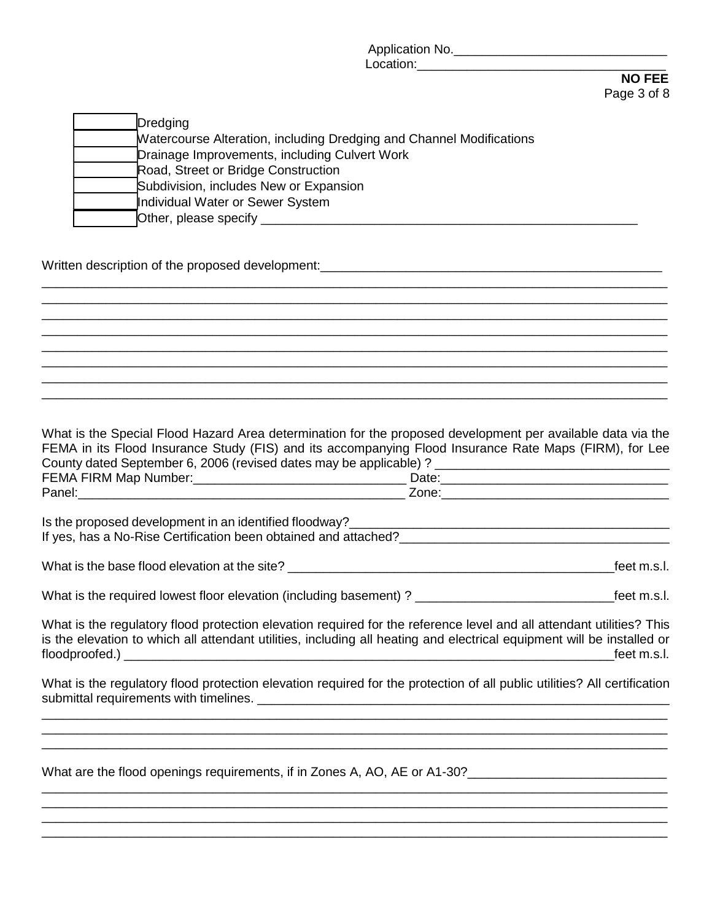Application No.\_\_\_\_\_\_\_\_\_\_\_\_\_\_\_\_\_\_\_\_\_\_\_\_\_\_\_\_\_\_

 Location:\_\_\_\_\_\_\_\_\_\_\_\_\_\_\_\_\_\_\_\_\_\_\_\_\_\_\_\_\_\_\_\_\_\_\_ **NO FEE**  Page 3 of 8

| <b>Dredging</b>                                                             |
|-----------------------------------------------------------------------------|
| <b>Matercourse Alteration, including Dredging and Channel Modifications</b> |
| Drainage Improvements, including Culvert Work                               |
| Road, Street or Bridge Construction                                         |
| Subdivision, includes New or Expansion                                      |
| Individual Water or Sewer System                                            |
| Other, please specify                                                       |

Written description of the proposed development: example and the proposed of the proposed development:

What is the Special Flood Hazard Area determination for the proposed development per available data via the FEMA in its Flood Insurance Study (FIS) and its accompanying Flood Insurance Rate Maps (FIRM), for Lee County dated September 6, 2006 (revised dates may be applicable) ? \_\_\_\_\_\_\_\_\_\_\_\_\_\_\_\_\_\_\_\_\_\_\_\_\_\_\_\_\_\_\_\_\_ FEMA FIRM Map Number:\_\_\_\_\_\_\_\_\_\_\_\_\_\_\_\_\_\_\_\_\_\_\_\_\_\_\_\_\_\_ Date:\_\_\_\_\_\_\_\_\_\_\_\_\_\_\_\_\_\_\_\_\_\_\_\_\_\_\_\_\_\_\_\_ Panel: The contract of the contract of the contract of the contract  $Z$  one:  $Z$  one:

\_\_\_\_\_\_\_\_\_\_\_\_\_\_\_\_\_\_\_\_\_\_\_\_\_\_\_\_\_\_\_\_\_\_\_\_\_\_\_\_\_\_\_\_\_\_\_\_\_\_\_\_\_\_\_\_\_\_\_\_\_\_\_\_\_\_\_\_\_\_\_\_\_\_\_\_\_\_\_\_\_\_\_\_\_\_\_\_ \_\_\_\_\_\_\_\_\_\_\_\_\_\_\_\_\_\_\_\_\_\_\_\_\_\_\_\_\_\_\_\_\_\_\_\_\_\_\_\_\_\_\_\_\_\_\_\_\_\_\_\_\_\_\_\_\_\_\_\_\_\_\_\_\_\_\_\_\_\_\_\_\_\_\_\_\_\_\_\_\_\_\_\_\_\_\_\_ \_\_\_\_\_\_\_\_\_\_\_\_\_\_\_\_\_\_\_\_\_\_\_\_\_\_\_\_\_\_\_\_\_\_\_\_\_\_\_\_\_\_\_\_\_\_\_\_\_\_\_\_\_\_\_\_\_\_\_\_\_\_\_\_\_\_\_\_\_\_\_\_\_\_\_\_\_\_\_\_\_\_\_\_\_\_\_\_ \_\_\_\_\_\_\_\_\_\_\_\_\_\_\_\_\_\_\_\_\_\_\_\_\_\_\_\_\_\_\_\_\_\_\_\_\_\_\_\_\_\_\_\_\_\_\_\_\_\_\_\_\_\_\_\_\_\_\_\_\_\_\_\_\_\_\_\_\_\_\_\_\_\_\_\_\_\_\_\_\_\_\_\_\_\_\_\_ \_\_\_\_\_\_\_\_\_\_\_\_\_\_\_\_\_\_\_\_\_\_\_\_\_\_\_\_\_\_\_\_\_\_\_\_\_\_\_\_\_\_\_\_\_\_\_\_\_\_\_\_\_\_\_\_\_\_\_\_\_\_\_\_\_\_\_\_\_\_\_\_\_\_\_\_\_\_\_\_\_\_\_\_\_\_\_\_ \_\_\_\_\_\_\_\_\_\_\_\_\_\_\_\_\_\_\_\_\_\_\_\_\_\_\_\_\_\_\_\_\_\_\_\_\_\_\_\_\_\_\_\_\_\_\_\_\_\_\_\_\_\_\_\_\_\_\_\_\_\_\_\_\_\_\_\_\_\_\_\_\_\_\_\_\_\_\_\_\_\_\_\_\_\_\_\_ \_\_\_\_\_\_\_\_\_\_\_\_\_\_\_\_\_\_\_\_\_\_\_\_\_\_\_\_\_\_\_\_\_\_\_\_\_\_\_\_\_\_\_\_\_\_\_\_\_\_\_\_\_\_\_\_\_\_\_\_\_\_\_\_\_\_\_\_\_\_\_\_\_\_\_\_\_\_\_\_\_\_\_\_\_\_\_\_

| Is the proposed development in an identified floodway?          |
|-----------------------------------------------------------------|
| If yes, has a No-Rise Certification been obtained and attached? |
|                                                                 |

What is the base flood elevation at the site? \_\_\_\_\_\_\_\_\_\_\_\_\_\_\_\_\_\_\_\_\_\_\_\_\_\_\_\_\_\_\_\_\_\_\_\_\_\_\_\_\_\_\_\_\_\_feet m.s.l.

| What is the required lowest floor elevation (including basement)? |  |  | feet m.s.l. |
|-------------------------------------------------------------------|--|--|-------------|
|-------------------------------------------------------------------|--|--|-------------|

What is the regulatory flood protection elevation required for the reference level and all attendant utilities? This is the elevation to which all attendant utilities, including all heating and electrical equipment will be installed or floodproofed.) \_\_\_\_\_\_\_\_\_\_\_\_\_\_\_\_\_\_\_\_\_\_\_\_\_\_\_\_\_\_\_\_\_\_\_\_\_\_\_\_\_\_\_\_\_\_\_\_\_\_\_\_\_\_\_\_\_\_\_\_\_\_\_\_\_\_\_\_\_feet m.s.l.

What is the regulatory flood protection elevation required for the protection of all public utilities? All certification submittal requirements with timelines. \_\_\_\_\_\_\_\_\_\_\_\_\_\_\_\_\_\_\_\_\_\_\_\_\_\_\_\_\_\_\_\_\_\_\_\_\_\_\_\_\_\_\_\_\_\_\_\_\_\_\_\_\_\_\_\_\_\_ \_\_\_\_\_\_\_\_\_\_\_\_\_\_\_\_\_\_\_\_\_\_\_\_\_\_\_\_\_\_\_\_\_\_\_\_\_\_\_\_\_\_\_\_\_\_\_\_\_\_\_\_\_\_\_\_\_\_\_\_\_\_\_\_\_\_\_\_\_\_\_\_\_\_\_\_\_\_\_\_\_\_\_\_\_\_\_\_

\_\_\_\_\_\_\_\_\_\_\_\_\_\_\_\_\_\_\_\_\_\_\_\_\_\_\_\_\_\_\_\_\_\_\_\_\_\_\_\_\_\_\_\_\_\_\_\_\_\_\_\_\_\_\_\_\_\_\_\_\_\_\_\_\_\_\_\_\_\_\_\_\_\_\_\_\_\_\_\_\_\_\_\_\_\_\_\_ \_\_\_\_\_\_\_\_\_\_\_\_\_\_\_\_\_\_\_\_\_\_\_\_\_\_\_\_\_\_\_\_\_\_\_\_\_\_\_\_\_\_\_\_\_\_\_\_\_\_\_\_\_\_\_\_\_\_\_\_\_\_\_\_\_\_\_\_\_\_\_\_\_\_\_\_\_\_\_\_\_\_\_\_\_\_\_\_

\_\_\_\_\_\_\_\_\_\_\_\_\_\_\_\_\_\_\_\_\_\_\_\_\_\_\_\_\_\_\_\_\_\_\_\_\_\_\_\_\_\_\_\_\_\_\_\_\_\_\_\_\_\_\_\_\_\_\_\_\_\_\_\_\_\_\_\_\_\_\_\_\_\_\_\_\_\_\_\_\_\_\_\_\_\_\_\_

\_\_\_\_\_\_\_\_\_\_\_\_\_\_\_\_\_\_\_\_\_\_\_\_\_\_\_\_\_\_\_\_\_\_\_\_\_\_\_\_\_\_\_\_\_\_\_\_\_\_\_\_\_\_\_\_\_\_\_\_\_\_\_\_\_\_\_\_\_\_\_\_\_\_\_\_\_\_\_\_\_\_\_\_\_\_\_\_ \_\_\_\_\_\_\_\_\_\_\_\_\_\_\_\_\_\_\_\_\_\_\_\_\_\_\_\_\_\_\_\_\_\_\_\_\_\_\_\_\_\_\_\_\_\_\_\_\_\_\_\_\_\_\_\_\_\_\_\_\_\_\_\_\_\_\_\_\_\_\_\_\_\_\_\_\_\_\_\_\_\_\_\_\_\_\_\_

What are the flood openings requirements, if in Zones A, AO, AE or A1-30?\_\_\_\_\_\_\_\_\_\_\_\_\_\_\_\_\_\_\_\_\_\_\_\_\_\_\_\_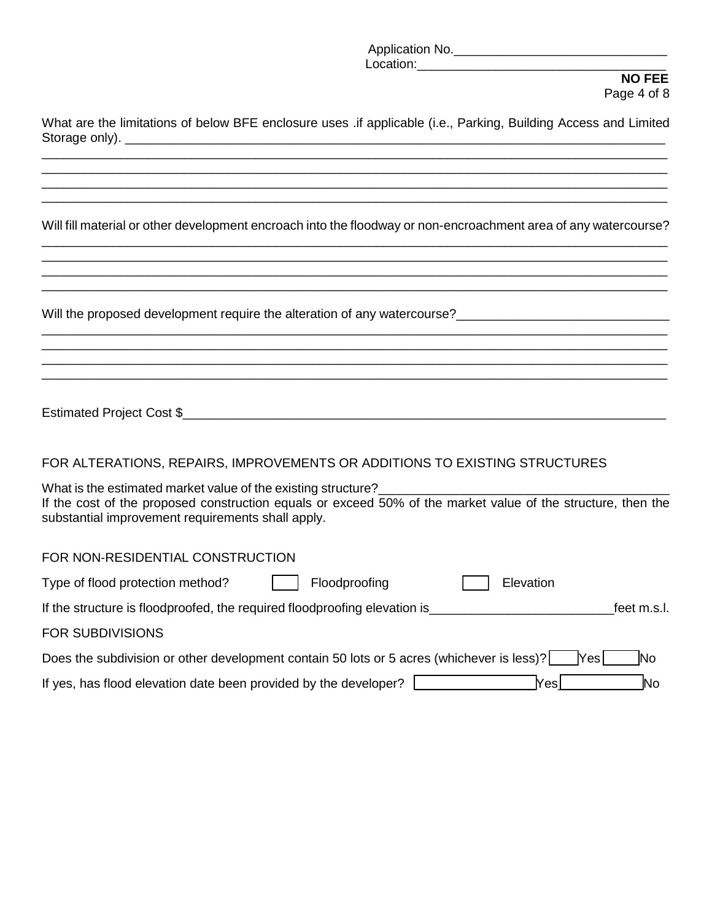Application No.\_\_\_\_\_\_\_\_\_\_\_\_\_\_\_\_\_\_\_\_\_\_\_\_\_\_\_\_\_\_

#### Location:\_\_\_\_\_\_\_\_\_\_\_\_\_\_\_\_\_\_\_\_\_\_\_\_\_\_\_\_\_\_\_\_\_\_\_ **NO FEE**  Page 4 of 8

| What are the limitations of below BFE enclosure uses .if applicable (i.e., Parking, Building Access and Limited |
|-----------------------------------------------------------------------------------------------------------------|
|                                                                                                                 |
| Will fill material or other development encroach into the floodway or non-encroachment area of any watercourse? |
|                                                                                                                 |

\_\_\_\_\_\_\_\_\_\_\_\_\_\_\_\_\_\_\_\_\_\_\_\_\_\_\_\_\_\_\_\_\_\_\_\_\_\_\_\_\_\_\_\_\_\_\_\_\_\_\_\_\_\_\_\_\_\_\_\_\_\_\_\_\_\_\_\_\_\_\_\_\_\_\_\_\_\_\_\_\_\_\_\_\_\_\_\_

\_\_\_\_\_\_\_\_\_\_\_\_\_\_\_\_\_\_\_\_\_\_\_\_\_\_\_\_\_\_\_\_\_\_\_\_\_\_\_\_\_\_\_\_\_\_\_\_\_\_\_\_\_\_\_\_\_\_\_\_\_\_\_\_\_\_\_\_\_\_\_\_\_\_\_\_\_\_\_\_\_\_\_\_\_\_\_\_ \_\_\_\_\_\_\_\_\_\_\_\_\_\_\_\_\_\_\_\_\_\_\_\_\_\_\_\_\_\_\_\_\_\_\_\_\_\_\_\_\_\_\_\_\_\_\_\_\_\_\_\_\_\_\_\_\_\_\_\_\_\_\_\_\_\_\_\_\_\_\_\_\_\_\_\_\_\_\_\_\_\_\_\_\_\_\_\_

Will the proposed development require the alteration of any watercourse?

| Estimated Project Cost \$ |  |
|---------------------------|--|
|                           |  |

# FOR ALTERATIONS, REPAIRS, IMPROVEMENTS OR ADDITIONS TO EXISTING STRUCTURES

What is the estimated market value of the existing structure? If the cost of the proposed construction equals or exceed 50% of the market value of the structure, then the substantial improvement requirements shall apply.

#### FOR NON-RESIDENTIAL CONSTRUCTION

| Type of flood protection method?                                                          | Floodproofing | Elevation |             |
|-------------------------------------------------------------------------------------------|---------------|-----------|-------------|
| If the structure is floodproofed, the required floodproofing elevation is                 |               |           | feet m.s.l. |
| <b>FOR SUBDIVISIONS</b>                                                                   |               |           |             |
| Does the subdivision or other development contain 50 lots or 5 acres (whichever is less)? |               | lYes l    | <b>INo</b>  |
| If yes, has flood elevation date been provided by the developer?                          |               | lYesl     | No          |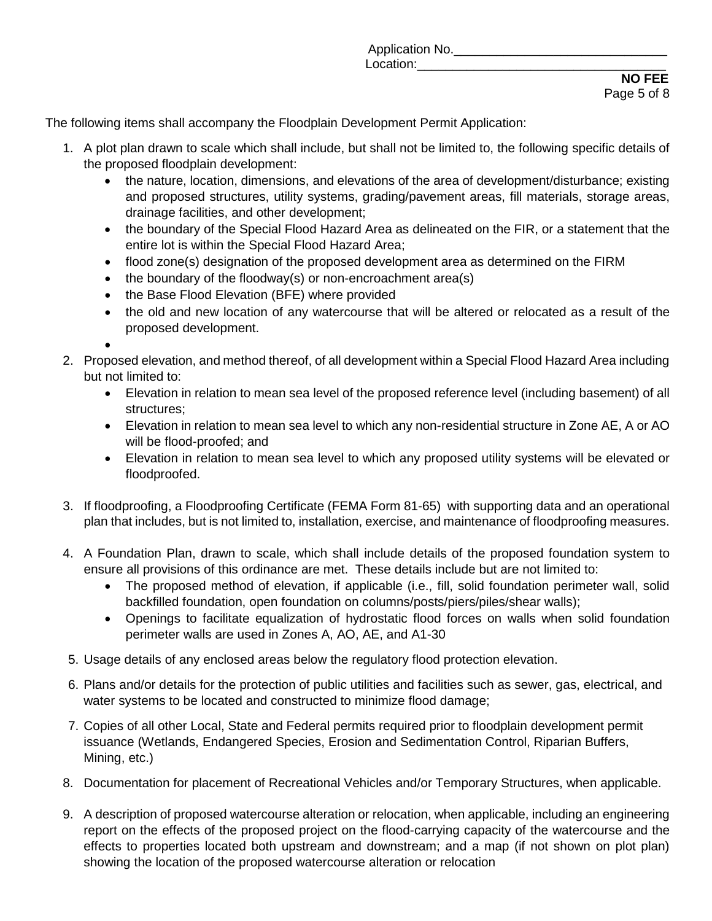The following items shall accompany the Floodplain Development Permit Application:

- 1. A plot plan drawn to scale which shall include, but shall not be limited to, the following specific details of the proposed floodplain development:
	- the nature, location, dimensions, and elevations of the area of development/disturbance; existing and proposed structures, utility systems, grading/pavement areas, fill materials, storage areas, drainage facilities, and other development;
	- the boundary of the Special Flood Hazard Area as delineated on the FIR, or a statement that the entire lot is within the Special Flood Hazard Area;
	- flood zone(s) designation of the proposed development area as determined on the FIRM
	- the boundary of the floodway(s) or non-encroachment area(s)
	- the Base Flood Elevation (BFE) where provided
	- the old and new location of any watercourse that will be altered or relocated as a result of the proposed development.

•

- 2. Proposed elevation, and method thereof, of all development within a Special Flood Hazard Area including but not limited to:
	- Elevation in relation to mean sea level of the proposed reference level (including basement) of all structures;
	- Elevation in relation to mean sea level to which any non-residential structure in Zone AE, A or AO will be flood-proofed; and
	- Elevation in relation to mean sea level to which any proposed utility systems will be elevated or floodproofed.
- 3. If floodproofing, a Floodproofing Certificate (FEMA Form 81-65) with supporting data and an operational plan that includes, but is not limited to, installation, exercise, and maintenance of floodproofing measures.
- 4. A Foundation Plan, drawn to scale, which shall include details of the proposed foundation system to ensure all provisions of this ordinance are met. These details include but are not limited to:
	- The proposed method of elevation, if applicable (i.e., fill, solid foundation perimeter wall, solid backfilled foundation, open foundation on columns/posts/piers/piles/shear walls);
	- Openings to facilitate equalization of hydrostatic flood forces on walls when solid foundation perimeter walls are used in Zones A, AO, AE, and A1-30
- 5. Usage details of any enclosed areas below the regulatory flood protection elevation.
- 6. Plans and/or details for the protection of public utilities and facilities such as sewer, gas, electrical, and water systems to be located and constructed to minimize flood damage;
- 7. Copies of all other Local, State and Federal permits required prior to floodplain development permit issuance (Wetlands, Endangered Species, Erosion and Sedimentation Control, Riparian Buffers, Mining, etc.)
- 8. Documentation for placement of Recreational Vehicles and/or Temporary Structures, when applicable.
- 9. A description of proposed watercourse alteration or relocation, when applicable, including an engineering report on the effects of the proposed project on the flood-carrying capacity of the watercourse and the effects to properties located both upstream and downstream; and a map (if not shown on plot plan) showing the location of the proposed watercourse alteration or relocation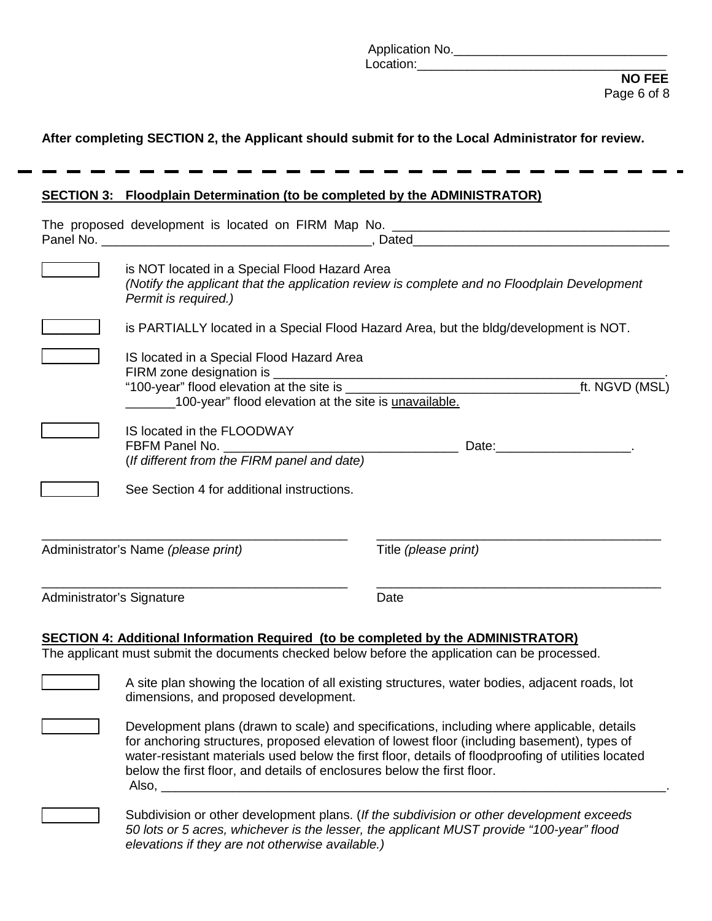| .<br>No.<br>`\!! |  |
|------------------|--|
| וחודבים<br>.     |  |

#### **After completing SECTION 2, the Applicant should submit for to the Local Administrator for review.**

#### **SECTION 3: Floodplain Determination (to be completed by the ADMINISTRATOR)**

|                           | is NOT located in a Special Flood Hazard Area<br>(Notify the applicant that the application review is complete and no Floodplain Development<br>Permit is required.) |                      |                                   |
|---------------------------|----------------------------------------------------------------------------------------------------------------------------------------------------------------------|----------------------|-----------------------------------|
|                           | is PARTIALLY located in a Special Flood Hazard Area, but the bldg/development is NOT.                                                                                |                      |                                   |
|                           | IS located in a Special Flood Hazard Area<br>100-year" flood elevation at the site is unavailable.                                                                   |                      | _ft. NGVD (MSL)                   |
|                           | IS located in the FLOODWAY<br>(If different from the FIRM panel and date)                                                                                            |                      | Date: __________________________. |
|                           | See Section 4 for additional instructions.                                                                                                                           |                      |                                   |
|                           | Administrator's Name (please print)                                                                                                                                  | Title (please print) |                                   |
| Administrator's Signature |                                                                                                                                                                      | Date                 |                                   |

#### **SECTION 4: Additional Information Required (to be completed by the ADMINISTRATOR)**

The applicant must submit the documents checked below before the application can be processed.

A site plan showing the location of all existing structures, water bodies, adjacent roads, lot dimensions, and proposed development.

Development plans (drawn to scale) and specifications, including where applicable, details for anchoring structures, proposed elevation of lowest floor (including basement), types of water-resistant materials used below the first floor, details of floodproofing of utilities located below the first floor, and details of enclosures below the first floor. Also, \_\_\_\_\_\_\_\_\_\_\_\_\_\_\_\_\_\_\_\_\_\_\_\_\_\_\_\_\_\_\_\_\_\_\_\_\_\_\_\_\_\_\_\_\_\_\_\_\_\_\_\_\_\_\_\_\_\_\_\_\_\_\_\_\_\_\_\_\_\_\_.

> \_\_\_\_\_\_\_\_ Subdivision or other development plans. (*If the subdivision or other development exceeds 50 lots or 5 acres, whichever is the lesser, the applicant MUST provide "100-year" flood elevations if they are not otherwise available.)*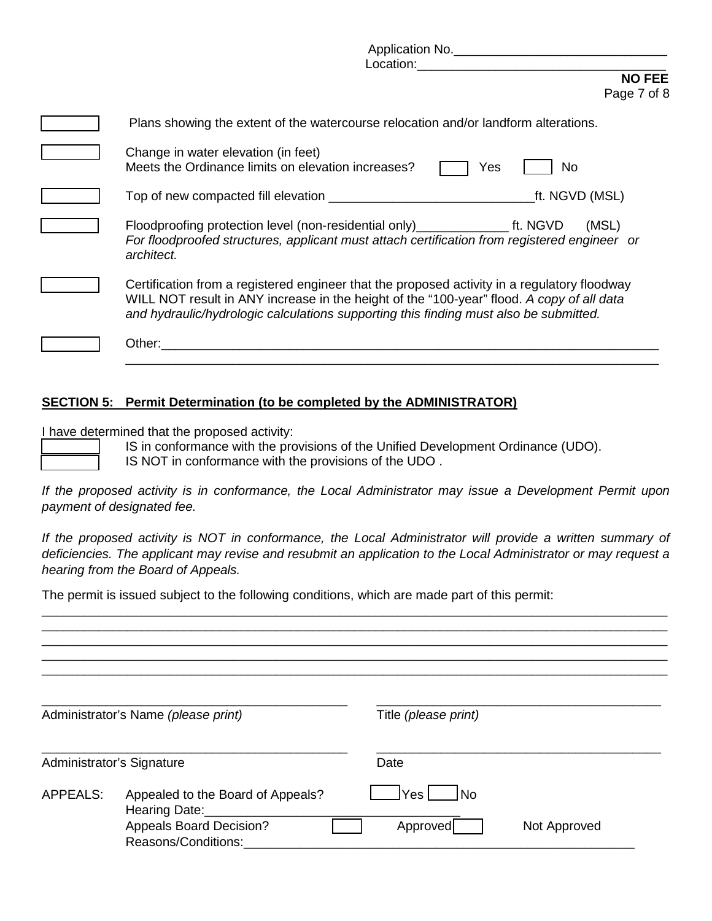| Application No.<br><b>Location: Example 20</b>                                                                                                                                                                                                                                     |
|------------------------------------------------------------------------------------------------------------------------------------------------------------------------------------------------------------------------------------------------------------------------------------|
| <b>NO FEE</b><br>Page 7 of 8                                                                                                                                                                                                                                                       |
| Plans showing the extent of the watercourse relocation and/or landform alterations.                                                                                                                                                                                                |
| Change in water elevation (in feet)<br>Meets the Ordinance limits on elevation increases?<br>No<br>Yes                                                                                                                                                                             |
| _ft. NGVD (MSL)                                                                                                                                                                                                                                                                    |
| Floodproofing protection level (non-residential only) ________________ ft. NGVD<br>(MSL)<br>For floodproofed structures, applicant must attach certification from registered engineer or<br>architect.                                                                             |
| Certification from a registered engineer that the proposed activity in a regulatory floodway<br>WILL NOT result in ANY increase in the height of the "100-year" flood. A copy of all data<br>and hydraulic/hydrologic calculations supporting this finding must also be submitted. |
| Other:                                                                                                                                                                                                                                                                             |

## **SECTION 5: Permit Determination (to be completed by the ADMINISTRATOR)**

I have determined that the proposed activity:

IS in conformance with the provisions of the Unified Development Ordinance (UDO). IS NOT in conformance with the provisions of the UDO .

*If the proposed activity is in conformance, the Local Administrator may issue a Development Permit upon payment of designated fee.* 

\_\_\_\_\_\_\_\_\_\_\_\_\_\_\_\_\_\_\_\_\_\_\_\_\_\_\_\_\_\_\_\_\_\_\_\_\_\_\_\_\_\_\_\_\_\_\_\_\_\_\_\_\_\_\_\_\_\_\_\_\_\_\_\_\_\_\_\_\_\_\_\_\_\_\_

*If the proposed activity is NOT in conformance, the Local Administrator will provide a written summary of deficiencies. The applicant may revise and resubmit an application to the Local Administrator or may request a hearing from the Board of Appeals.* 

\_\_\_\_\_\_\_\_\_\_\_\_\_\_\_\_\_\_\_\_\_\_\_\_\_\_\_\_\_\_\_\_\_\_\_\_\_\_\_\_\_\_\_\_\_\_\_\_\_\_\_\_\_\_\_\_\_\_\_\_\_\_\_\_\_\_\_\_\_\_\_\_\_\_\_\_\_\_\_\_\_\_\_\_\_\_\_\_

The permit is issued subject to the following conditions, which are made part of this permit:

|                 | Administrator's Name (please print)                                                                         | Title (please print)   |              |
|-----------------|-------------------------------------------------------------------------------------------------------------|------------------------|--------------|
|                 | Administrator's Signature                                                                                   | Date                   |              |
| <b>APPEALS:</b> | Appealed to the Board of Appeals?<br>Hearing Date:<br><b>Appeals Board Decision?</b><br>Reasons/Conditions: | 1No<br>Yes<br>Approved | Not Approved |